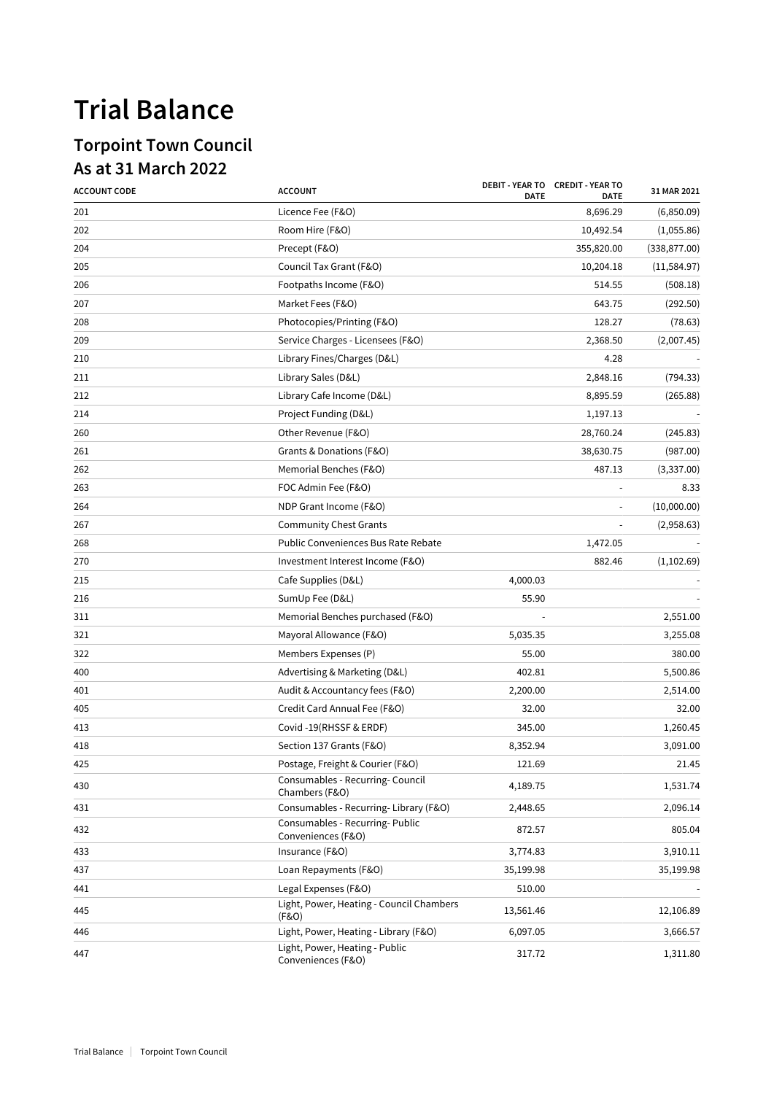## **Trial Balance**

## **Torpoint Town Council As at 31 March 2022**

| <b>ACCOUNT CODE</b> | <b>ACCOUNT</b>                                        | <b>DATE</b> | DEBIT - YEAR TO CREDIT - YEAR TO<br><b>DATE</b> | 31 MAR 2021   |
|---------------------|-------------------------------------------------------|-------------|-------------------------------------------------|---------------|
| 201                 | Licence Fee (F&O)                                     |             | 8,696.29                                        | (6,850.09)    |
| 202                 | Room Hire (F&O)                                       |             | 10,492.54                                       | (1,055.86)    |
| 204                 | Precept (F&O)                                         |             | 355,820.00                                      | (338, 877.00) |
| 205                 | Council Tax Grant (F&O)                               |             | 10,204.18                                       | (11, 584.97)  |
| 206                 | Footpaths Income (F&O)                                |             | 514.55                                          | (508.18)      |
| 207                 | Market Fees (F&O)                                     |             | 643.75                                          | (292.50)      |
| 208                 | Photocopies/Printing (F&O)                            |             | 128.27                                          | (78.63)       |
| 209                 | Service Charges - Licensees (F&O)                     |             | 2,368.50                                        | (2,007.45)    |
| 210                 | Library Fines/Charges (D&L)                           |             | 4.28                                            |               |
| 211                 | Library Sales (D&L)                                   |             | 2,848.16                                        | (794.33)      |
| 212                 | Library Cafe Income (D&L)                             |             | 8,895.59                                        | (265.88)      |
| 214                 | Project Funding (D&L)                                 |             | 1,197.13                                        |               |
| 260                 | Other Revenue (F&O)                                   |             | 28,760.24                                       | (245.83)      |
| 261                 | Grants & Donations (F&O)                              |             | 38,630.75                                       | (987.00)      |
| 262                 | Memorial Benches (F&O)                                |             | 487.13                                          | (3,337.00)    |
| 263                 | FOC Admin Fee (F&O)                                   |             |                                                 | 8.33          |
| 264                 | NDP Grant Income (F&O)                                |             |                                                 | (10,000.00)   |
| 267                 | <b>Community Chest Grants</b>                         |             |                                                 | (2,958.63)    |
| 268                 | Public Conveniences Bus Rate Rebate                   |             | 1,472.05                                        |               |
| 270                 | Investment Interest Income (F&O)                      |             | 882.46                                          | (1,102.69)    |
| 215                 | Cafe Supplies (D&L)                                   | 4,000.03    |                                                 |               |
| 216                 | SumUp Fee (D&L)                                       | 55.90       |                                                 |               |
| 311                 | Memorial Benches purchased (F&O)                      |             |                                                 | 2,551.00      |
| 321                 | Mayoral Allowance (F&O)                               | 5,035.35    |                                                 | 3,255.08      |
| 322                 | Members Expenses (P)                                  | 55.00       |                                                 | 380.00        |
| 400                 | Advertising & Marketing (D&L)                         | 402.81      |                                                 | 5,500.86      |
| 401                 | Audit & Accountancy fees (F&O)                        | 2,200.00    |                                                 | 2,514.00      |
| 405                 | Credit Card Annual Fee (F&O)                          | 32.00       |                                                 | 32.00         |
| 413                 | Covid -19(RHSSF & ERDF)                               | 345.00      |                                                 | 1,260.45      |
| 418                 | Section 137 Grants (F&O)                              | 8,352.94    |                                                 | 3,091.00      |
| 425                 | Postage, Freight & Courier (F&O)                      | 121.69      |                                                 | 21.45         |
| 430                 | Consumables - Recurring- Council<br>Chambers (F&O)    | 4,189.75    |                                                 | 1,531.74      |
| 431                 | Consumables - Recurring-Library (F&O)                 | 2,448.65    |                                                 | 2,096.14      |
| 432                 | Consumables - Recurring- Public<br>Conveniences (F&O) | 872.57      |                                                 | 805.04        |
| 433                 | Insurance (F&O)                                       | 3,774.83    |                                                 | 3,910.11      |
| 437                 | Loan Repayments (F&O)                                 | 35,199.98   |                                                 | 35,199.98     |
| 441                 | Legal Expenses (F&O)                                  | 510.00      |                                                 |               |
| 445                 | Light, Power, Heating - Council Chambers<br>(F&O)     | 13,561.46   |                                                 | 12,106.89     |
| 446                 | Light, Power, Heating - Library (F&O)                 | 6,097.05    |                                                 | 3,666.57      |
| 447                 | Light, Power, Heating - Public<br>Conveniences (F&O)  | 317.72      |                                                 | 1,311.80      |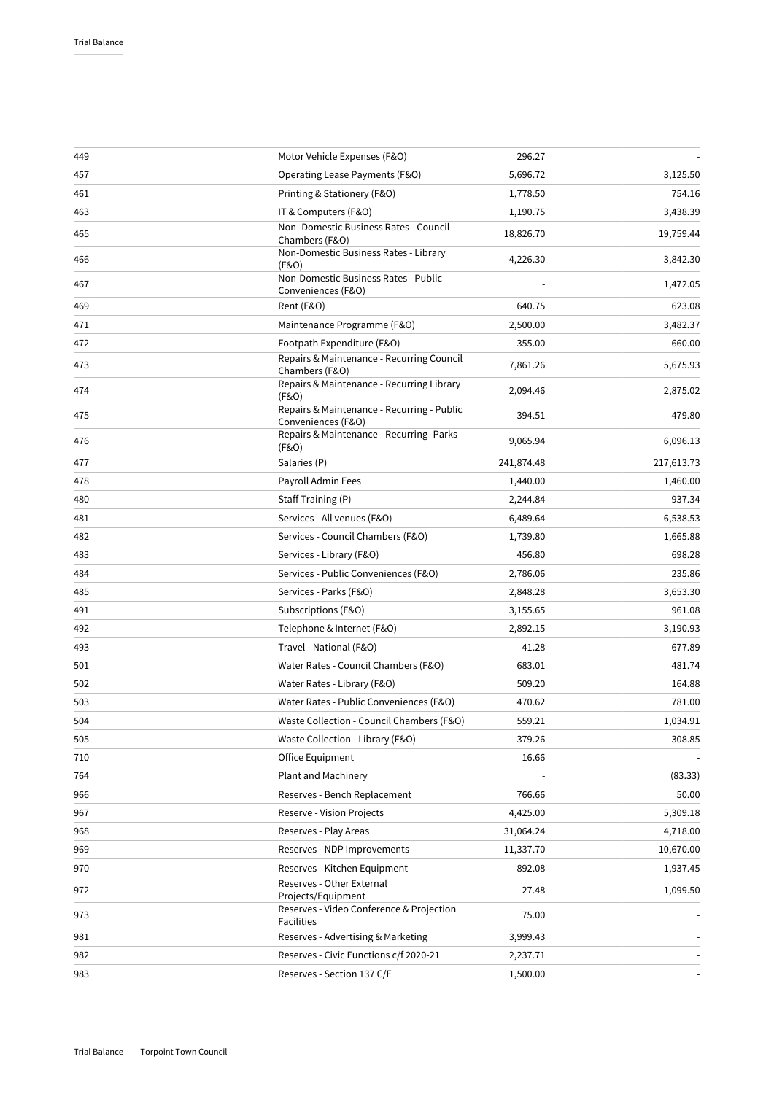| 449 | Motor Vehicle Expenses (F&O)                                     | 296.27     |            |
|-----|------------------------------------------------------------------|------------|------------|
| 457 | Operating Lease Payments (F&O)                                   | 5,696.72   | 3,125.50   |
| 461 | Printing & Stationery (F&O)                                      | 1,778.50   | 754.16     |
| 463 | IT & Computers (F&O)                                             | 1,190.75   | 3,438.39   |
| 465 | Non- Domestic Business Rates - Council<br>Chambers (F&O)         | 18,826.70  | 19,759.44  |
| 466 | Non-Domestic Business Rates - Library<br>(F&O)                   | 4,226.30   | 3,842.30   |
| 467 | Non-Domestic Business Rates - Public<br>Conveniences (F&O)       |            | 1,472.05   |
| 469 | Rent (F&O)                                                       | 640.75     | 623.08     |
| 471 | Maintenance Programme (F&O)                                      | 2,500.00   | 3,482.37   |
| 472 | Footpath Expenditure (F&O)                                       | 355.00     | 660.00     |
| 473 | Repairs & Maintenance - Recurring Council<br>Chambers (F&O)      | 7,861.26   | 5,675.93   |
| 474 | Repairs & Maintenance - Recurring Library<br>(F&O)               | 2,094.46   | 2,875.02   |
| 475 | Repairs & Maintenance - Recurring - Public<br>Conveniences (F&O) | 394.51     | 479.80     |
| 476 | Repairs & Maintenance - Recurring- Parks<br>(F&O)                | 9,065.94   | 6,096.13   |
| 477 | Salaries (P)                                                     | 241,874.48 | 217,613.73 |
| 478 | Payroll Admin Fees                                               | 1,440.00   | 1,460.00   |
| 480 | Staff Training (P)                                               | 2,244.84   | 937.34     |
| 481 | Services - All venues (F&O)                                      | 6,489.64   | 6,538.53   |
| 482 | Services - Council Chambers (F&O)                                | 1,739.80   | 1,665.88   |
| 483 | Services - Library (F&O)                                         | 456.80     | 698.28     |
| 484 | Services - Public Conveniences (F&O)                             | 2,786.06   | 235.86     |
| 485 | Services - Parks (F&O)                                           | 2,848.28   | 3,653.30   |
| 491 | Subscriptions (F&O)                                              | 3,155.65   | 961.08     |
| 492 | Telephone & Internet (F&O)                                       | 2,892.15   | 3,190.93   |
| 493 | Travel - National (F&O)                                          | 41.28      | 677.89     |
| 501 | Water Rates - Council Chambers (F&O)                             | 683.01     | 481.74     |
| 502 | Water Rates - Library (F&O)                                      | 509.20     | 164.88     |
| 503 | Water Rates - Public Conveniences (F&O)                          | 470.62     | 781.00     |
| 504 | Waste Collection - Council Chambers (F&O)                        | 559.21     | 1,034.91   |
| 505 | Waste Collection - Library (F&O)                                 | 379.26     | 308.85     |
| 710 | Office Equipment                                                 | 16.66      |            |
| 764 | Plant and Machinery                                              |            | (83.33)    |
| 966 | Reserves - Bench Replacement                                     | 766.66     | 50.00      |
| 967 | Reserve - Vision Projects                                        | 4,425.00   | 5,309.18   |
| 968 | Reserves - Play Areas                                            | 31,064.24  | 4,718.00   |
| 969 | Reserves - NDP Improvements                                      | 11,337.70  | 10,670.00  |
| 970 | Reserves - Kitchen Equipment                                     | 892.08     | 1,937.45   |
| 972 | Reserves - Other External<br>Projects/Equipment                  | 27.48      | 1,099.50   |
| 973 | Reserves - Video Conference & Projection<br>Facilities           | 75.00      |            |
| 981 | Reserves - Advertising & Marketing                               | 3,999.43   |            |
| 982 | Reserves - Civic Functions c/f 2020-21                           | 2,237.71   |            |
| 983 | Reserves - Section 137 C/F                                       | 1,500.00   |            |